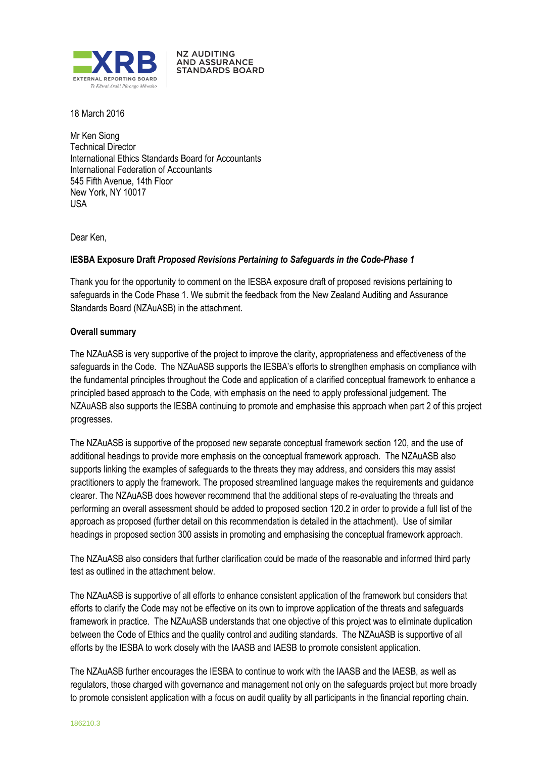

**NZ AUDITING AND ASSURANCE STANDARDS BOARD** 

18 March 2016

Mr Ken Siong Technical Director International Ethics Standards Board for Accountants International Federation of Accountants 545 Fifth Avenue, 14th Floor New York, NY 10017 USA

Dear Ken,

# **IESBA Exposure Draft** *Proposed Revisions Pertaining to Safeguards in the Code-Phase 1*

Thank you for the opportunity to comment on the IESBA exposure draft of proposed revisions pertaining to safeguards in the Code Phase 1. We submit the feedback from the New Zealand Auditing and Assurance Standards Board (NZAuASB) in the attachment.

# **Overall summary**

The NZAuASB is very supportive of the project to improve the clarity, appropriateness and effectiveness of the safeguards in the Code. The NZAuASB supports the IESBA's efforts to strengthen emphasis on compliance with the fundamental principles throughout the Code and application of a clarified conceptual framework to enhance a principled based approach to the Code, with emphasis on the need to apply professional judgement. The NZAuASB also supports the IESBA continuing to promote and emphasise this approach when part 2 of this project progresses.

The NZAuASB is supportive of the proposed new separate conceptual framework section 120, and the use of additional headings to provide more emphasis on the conceptual framework approach. The NZAuASB also supports linking the examples of safeguards to the threats they may address, and considers this may assist practitioners to apply the framework. The proposed streamlined language makes the requirements and guidance clearer. The NZAuASB does however recommend that the additional steps of re-evaluating the threats and performing an overall assessment should be added to proposed section 120.2 in order to provide a full list of the approach as proposed (further detail on this recommendation is detailed in the attachment). Use of similar headings in proposed section 300 assists in promoting and emphasising the conceptual framework approach.

The NZAuASB also considers that further clarification could be made of the reasonable and informed third party test as outlined in the attachment below.

The NZAuASB is supportive of all efforts to enhance consistent application of the framework but considers that efforts to clarify the Code may not be effective on its own to improve application of the threats and safeguards framework in practice. The NZAuASB understands that one objective of this project was to eliminate duplication between the Code of Ethics and the quality control and auditing standards. The NZAuASB is supportive of all efforts by the IESBA to work closely with the IAASB and IAESB to promote consistent application.

The NZAuASB further encourages the IESBA to continue to work with the IAASB and the IAESB, as well as regulators, those charged with governance and management not only on the safeguards project but more broadly to promote consistent application with a focus on audit quality by all participants in the financial reporting chain.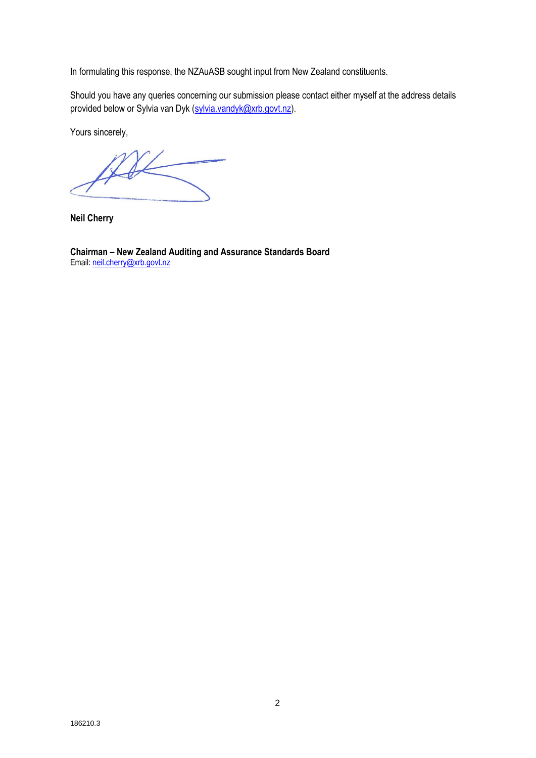In formulating this response, the NZAuASB sought input from New Zealand constituents.

Should you have any queries concerning our submission please contact either myself at the address details provided below or Sylvia van Dyk (sylvia.vandyk@xrb.govt.nz).

Yours sincerely,

**Neil Cherry**

**Chairman – New Zealand Auditing and Assurance Standards Board** Email: [neil.cherry@xrb.govt.nz](mailto:neil.cherry@xtra.co.nz)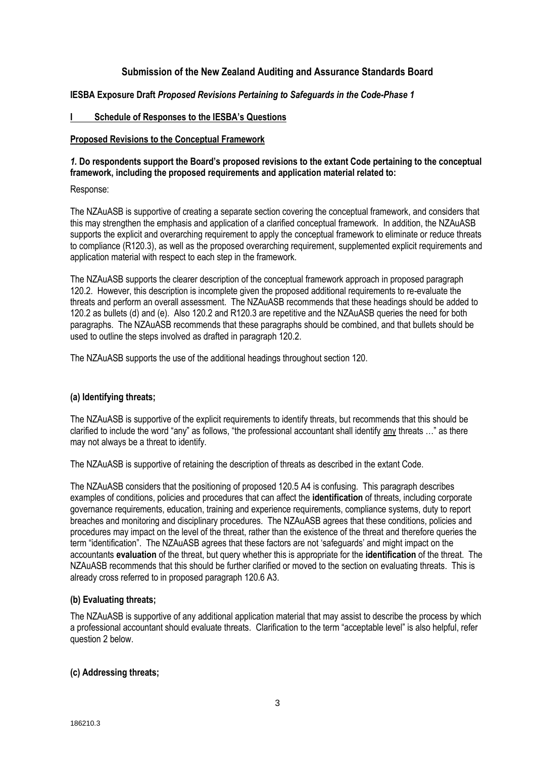# **Submission of the New Zealand Auditing and Assurance Standards Board**

## **IESBA Exposure Draft** *Proposed Revisions Pertaining to Safeguards in the Code-Phase 1*

## **I Schedule of Responses to the IESBA's Questions**

## **Proposed Revisions to the Conceptual Framework**

## *1.* **Do respondents support the Board's proposed revisions to the extant Code pertaining to the conceptual framework, including the proposed requirements and application material related to:**

Response:

The NZAuASB is supportive of creating a separate section covering the conceptual framework, and considers that this may strengthen the emphasis and application of a clarified conceptual framework. In addition, the NZAuASB supports the explicit and overarching requirement to apply the conceptual framework to eliminate or reduce threats to compliance (R120.3), as well as the proposed overarching requirement, supplemented explicit requirements and application material with respect to each step in the framework.

The NZAuASB supports the clearer description of the conceptual framework approach in proposed paragraph 120.2. However, this description is incomplete given the proposed additional requirements to re-evaluate the threats and perform an overall assessment. The NZAuASB recommends that these headings should be added to 120.2 as bullets (d) and (e). Also 120.2 and R120.3 are repetitive and the NZAuASB queries the need for both paragraphs. The NZAuASB recommends that these paragraphs should be combined, and that bullets should be used to outline the steps involved as drafted in paragraph 120.2.

The NZAuASB supports the use of the additional headings throughout section 120.

## **(a) Identifying threats;**

The NZAuASB is supportive of the explicit requirements to identify threats, but recommends that this should be clarified to include the word "any" as follows, "the professional accountant shall identify any threats …" as there may not always be a threat to identify.

The NZAuASB is supportive of retaining the description of threats as described in the extant Code.

The NZAuASB considers that the positioning of proposed 120.5 A4 is confusing. This paragraph describes examples of conditions, policies and procedures that can affect the **identification** of threats, including corporate governance requirements, education, training and experience requirements, compliance systems, duty to report breaches and monitoring and disciplinary procedures. The NZAuASB agrees that these conditions, policies and procedures may impact on the level of the threat, rather than the existence of the threat and therefore queries the term "identification". The NZAuASB agrees that these factors are not 'safeguards' and might impact on the accountants **evaluation** of the threat, but query whether this is appropriate for the **identification** of the threat. The NZAuASB recommends that this should be further clarified or moved to the section on evaluating threats. This is already cross referred to in proposed paragraph 120.6 A3.

## **(b) Evaluating threats;**

The NZAuASB is supportive of any additional application material that may assist to describe the process by which a professional accountant should evaluate threats. Clarification to the term "acceptable level" is also helpful, refer question 2 below.

## **(c) Addressing threats;**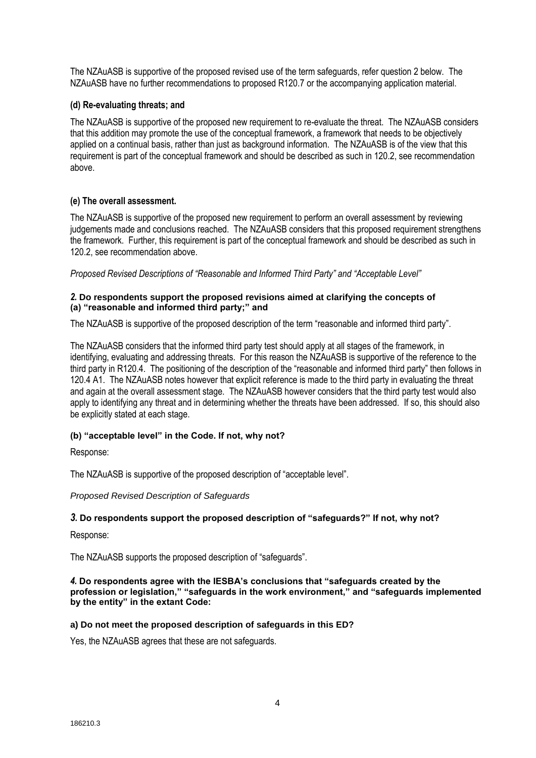The NZAuASB is supportive of the proposed revised use of the term safeguards, refer question 2 below. The NZAuASB have no further recommendations to proposed R120.7 or the accompanying application material.

## **(d) Re-evaluating threats; and**

The NZAuASB is supportive of the proposed new requirement to re-evaluate the threat. The NZAuASB considers that this addition may promote the use of the conceptual framework, a framework that needs to be objectively applied on a continual basis, rather than just as background information. The NZAuASB is of the view that this requirement is part of the conceptual framework and should be described as such in 120.2, see recommendation above.

## **(e) The overall assessment.**

The NZAuASB is supportive of the proposed new requirement to perform an overall assessment by reviewing judgements made and conclusions reached. The NZAuASB considers that this proposed requirement strengthens the framework. Further, this requirement is part of the conceptual framework and should be described as such in 120.2, see recommendation above.

*Proposed Revised Descriptions of "Reasonable and Informed Third Party" and "Acceptable Level"* 

## *2.* **Do respondents support the proposed revisions aimed at clarifying the concepts of (a) "reasonable and informed third party;" and**

The NZAuASB is supportive of the proposed description of the term "reasonable and informed third party".

The NZAuASB considers that the informed third party test should apply at all stages of the framework, in identifying, evaluating and addressing threats. For this reason the NZAuASB is supportive of the reference to the third party in R120.4. The positioning of the description of the "reasonable and informed third party" then follows in 120.4 A1. The NZAuASB notes however that explicit reference is made to the third party in evaluating the threat and again at the overall assessment stage. The NZAuASB however considers that the third party test would also apply to identifying any threat and in determining whether the threats have been addressed. If so, this should also be explicitly stated at each stage.

## **(b) "acceptable level" in the Code. If not, why not?**

Response:

The NZAuASB is supportive of the proposed description of "acceptable level".

*Proposed Revised Description of Safeguards* 

## *3.* **Do respondents support the proposed description of "safeguards?" If not, why not?**

Response:

The NZAuASB supports the proposed description of "safeguards".

*4.* **Do respondents agree with the IESBA's conclusions that "safeguards created by the profession or legislation," "safeguards in the work environment," and "safeguards implemented by the entity" in the extant Code:** 

## **a) Do not meet the proposed description of safeguards in this ED?**

Yes, the NZAuASB agrees that these are not safeguards.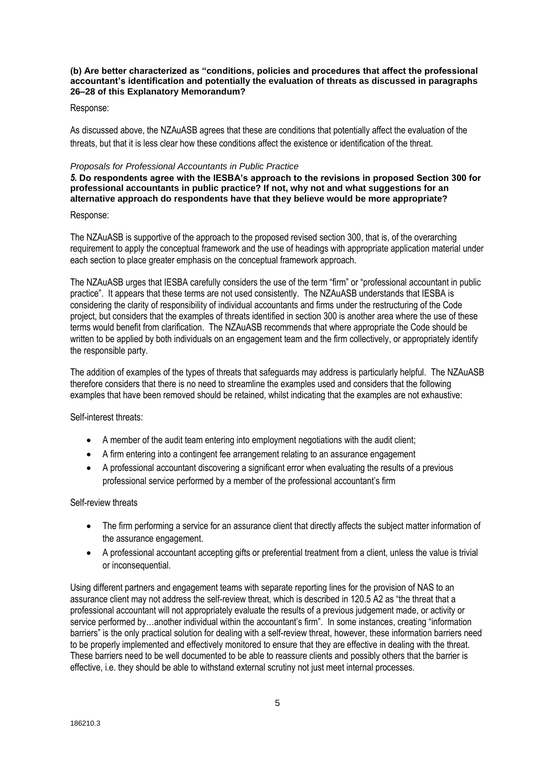#### **(b) Are better characterized as "conditions, policies and procedures that affect the professional accountant's identification and potentially the evaluation of threats as discussed in paragraphs 26–28 of this Explanatory Memorandum?**

## Response:

As discussed above, the NZAuASB agrees that these are conditions that potentially affect the evaluation of the threats, but that it is less clear how these conditions affect the existence or identification of the threat.

#### *Proposals for Professional Accountants in Public Practice*

*5.* **Do respondents agree with the IESBA's approach to the revisions in proposed Section 300 for professional accountants in public practice? If not, why not and what suggestions for an alternative approach do respondents have that they believe would be more appropriate?**

#### Response:

The NZAuASB is supportive of the approach to the proposed revised section 300, that is, of the overarching requirement to apply the conceptual framework and the use of headings with appropriate application material under each section to place greater emphasis on the conceptual framework approach.

The NZAuASB urges that IESBA carefully considers the use of the term "firm" or "professional accountant in public practice". It appears that these terms are not used consistently. The NZAuASB understands that IESBA is considering the clarity of responsibility of individual accountants and firms under the restructuring of the Code project, but considers that the examples of threats identified in section 300 is another area where the use of these terms would benefit from clarification. The NZAuASB recommends that where appropriate the Code should be written to be applied by both individuals on an engagement team and the firm collectively, or appropriately identify the responsible party.

The addition of examples of the types of threats that safeguards may address is particularly helpful. The NZAuASB therefore considers that there is no need to streamline the examples used and considers that the following examples that have been removed should be retained, whilst indicating that the examples are not exhaustive:

Self-interest threats:

- A member of the audit team entering into employment negotiations with the audit client;
- A firm entering into a contingent fee arrangement relating to an assurance engagement
- A professional accountant discovering a significant error when evaluating the results of a previous professional service performed by a member of the professional accountant's firm

## Self-review threats

- The firm performing a service for an assurance client that directly affects the subject matter information of the assurance engagement.
- A professional accountant accepting gifts or preferential treatment from a client, unless the value is trivial or inconsequential.

Using different partners and engagement teams with separate reporting lines for the provision of NAS to an assurance client may not address the self-review threat, which is described in 120.5 A2 as "the threat that a professional accountant will not appropriately evaluate the results of a previous judgement made, or activity or service performed by…another individual within the accountant's firm". In some instances, creating "information barriers" is the only practical solution for dealing with a self-review threat, however, these information barriers need to be properly implemented and effectively monitored to ensure that they are effective in dealing with the threat. These barriers need to be well documented to be able to reassure clients and possibly others that the barrier is effective, i.e. they should be able to withstand external scrutiny not just meet internal processes.